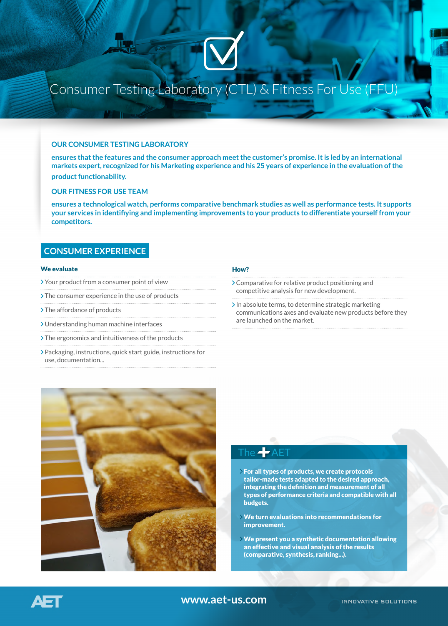# Consumer Testing Laboratory (CTL) & Fitness For Use (FFU)

#### **OUR CONSUMER TESTING LABORATORY**

**ensures that the features and the consumer approach meet the customer's promise. It is led by an international markets expert, recognized for his Marketing experience and his 25 years of experience in the evaluation of the product functionability.**

### **OUR FITNESS FOR USE TEAM**

**ensures a technological watch, performs comparative benchmark studies as well as performance tests. It supports your services in identifiying and implementing improvements to your products to differentiate yourself from your competitors.**

### **CONSUMER EXPERIENCE**

#### We evaluate

- Your product from a consumer point of view
- > The consumer experience in the use of products
- > The affordance of products
- Understanding human machine interfaces
- The ergonomics and intuitiveness of the products
- Packaging, instructions, quick start guide, instructions for use, documentation...

### How?

- Comparative for relative product positioning and competitive analysis for new development.
- $\sum$  In absolute terms, to determine strategic marketing communications axes and evaluate new products before they are launched on the market.



## The  $-\mathsf{A}\mathsf{E}$

- For all types of products, we create protocols tailor-made tests adapted to the desired approach, integrating the definition and measurement of all types of performance criteria and compatible with all budgets.
- We turn evaluations into recommendations for improvement.
- We present you a synthetic documentation allowing an effective and visual analysis of the results (comparative, synthesis, ranking...).

### **www.aet-us.com**